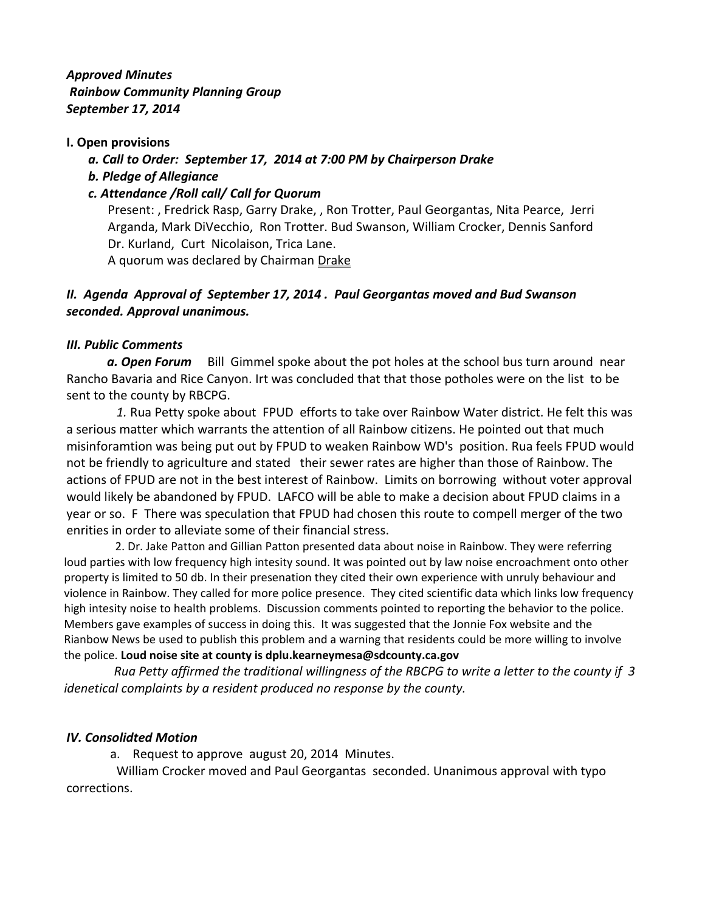*Approved Minutes Rainbow Community Planning Group September 17, 2014*

### **I. Open provisions**

 *a. Call to Order: September 17, 2014 at 7:00 PM by Chairperson Drake*

 *b. Pledge of Allegiance*

# *c. Attendance /Roll call/ Call for Quorum*

Present: , Fredrick Rasp, Garry Drake, , Ron Trotter, Paul Georgantas, Nita Pearce, Jerri Arganda, Mark DiVecchio, Ron Trotter. Bud Swanson, William Crocker, Dennis Sanford Dr. Kurland, Curt Nicolaison, Trica Lane.

A quorum was declared by Chairman Drake

# *II. Agenda Approval of September 17, 2014 . Paul Georgantas moved and Bud Swanson seconded. Approval unanimous.*

### *III. Public Comments*

**a. Open Forum** Bill Gimmel spoke about the pot holes at the school bus turn around near Rancho Bavaria and Rice Canyon. Irt was concluded that that those potholes were on the list to be sent to the county by RBCPG.

 *1.* Rua Petty spoke about FPUD efforts to take over Rainbow Water district. He felt this was a serious matter which warrants the attention of all Rainbow citizens. He pointed out that much misinforamtion was being put out by FPUD to weaken Rainbow WD's position. Rua feels FPUD would not be friendly to agriculture and stated their sewer rates are higher than those of Rainbow. The actions of FPUD are not in the best interest of Rainbow. Limits on borrowing without voter approval would likely be abandoned by FPUD. LAFCO will be able to make a decision about FPUD claims in a year or so. F There was speculation that FPUD had chosen this route to compell merger of the two enrities in order to alleviate some of their financial stress.

 2. Dr. Jake Patton and Gillian Patton presented data about noise in Rainbow. They were referring loud parties with low frequency high intesity sound. It was pointed out by law noise encroachment onto other property is limited to 50 db. In their presenation they cited their own experience with unruly behaviour and violence in Rainbow. They called for more police presence. They cited scientific data which links low frequency high intesity noise to health problems. Discussion comments pointed to reporting the behavior to the police. Members gave examples of success in doing this. It was suggested that the Jonnie Fox website and the Rianbow News be used to publish this problem and a warning that residents could be more willing to involve the police. **Loud noise site at county is dplu.kearneymesa@sdcounty.ca.gov**

 *Rua Petty affirmed the traditional willingness of the RBCPG to write a letter to the county if 3 idenetical complaints by a resident produced no response by the county.*

# *IV. Consolidted Motion*

a. Request to approve august 20, 2014 Minutes.

William Crocker moved and Paul Georgantas seconded. Unanimous approval with typo corrections.